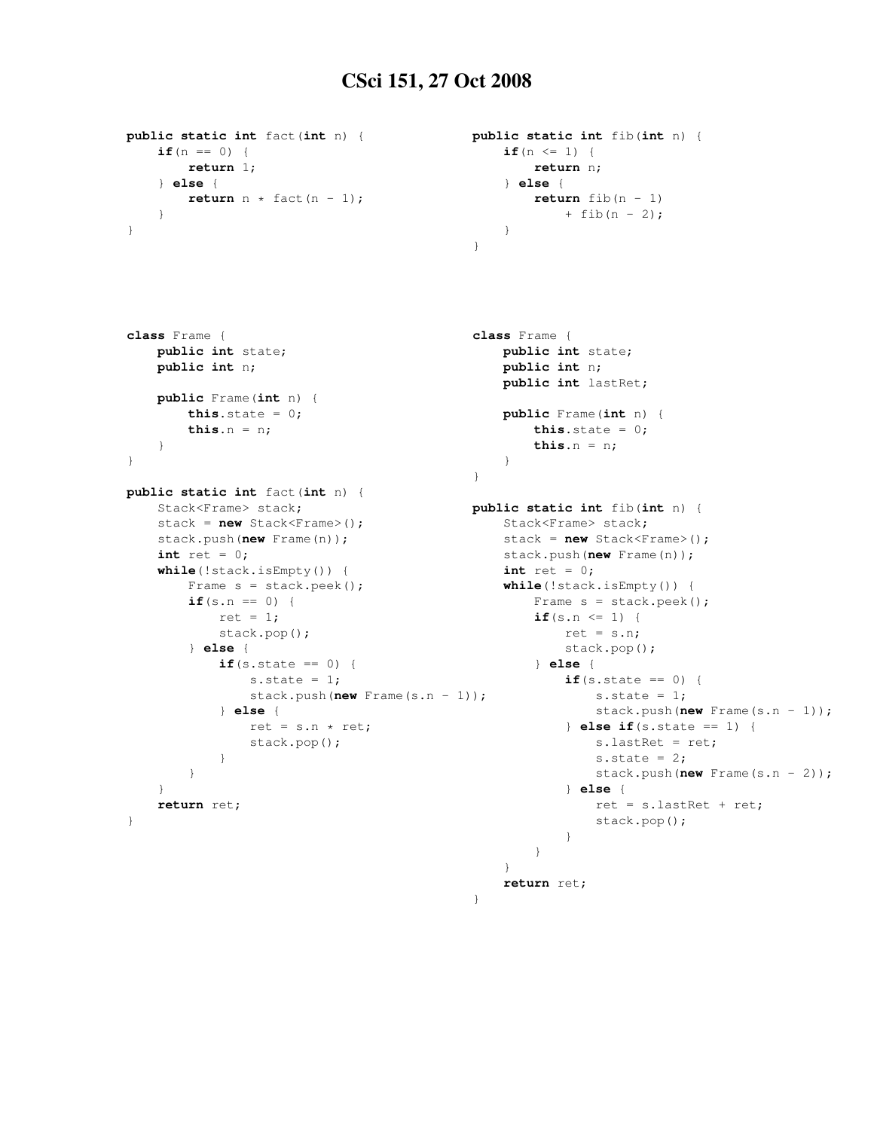## CSci 151, 27 Oct 2008

```
public static int fact(int n) {
    if(n == 0) {
       return 1;
    } else {
       return n * fact (n - 1);
    }
}
                                              public static int fib(int n) {
                                                  if(n \leq 1) {
                                                      return n;
                                                  } else {
                                                      return fib(n - 1)+ fib(n - 2);
                                                  }
                                              }
class Frame {
   public int state;
   public int n;
    public Frame(int n) {
       this.state = 0;
        this.n = n;
    }
}
public static int fact(int n) {
    Stack<Frame> stack;
    stack = new Stack<Frame>();
    stack.push(new Frame(n));
    int ret = 0;
    while(!stack.isEmpty()) {
        Frame s = stack.peek();
        if(s.n == 0) {
           ret = 1;stack.pop();
        } else {
            if(s.state == 0) {
                s.state = 1;stack.push(new Frame(s.n - 1));
            } else {
                ret = s.n * ret;stack.pop();
            }
        }
    }
    return ret;
}
                                              class Frame {
                                                  public int state;
                                                  public int n;
                                                  public int lastRet;
                                                  public Frame(int n) {
                                                      this.state = 0;this.n = n;
                                                  }
                                              }
                                              public static int fib(int n) {
                                                 Stack<Frame> stack;
                                                  stack = new Stack<Frame>();
                                                 stack.push(new Frame(n));
                                                  int ret = 0;
                                                  while(!stack.isEmpty()) {
                                                      Frame s = stack.peek();
                                                      if(s.n \leq 1) {
                                                          ret = s.n;stack.pop();
                                                      } else {
                                                          if(s.state == 0) {
                                                              s.state = 1;stack.push(new Frame(s.n - 1));
                                                          } else if(s.state == 1) {
                                                              s.lastRet = ret;
                                                              s.state = 2;stack.push(new Frame(s.n - 2));
                                                          } else {
                                                              ret = s.lastRet + ret;
                                                              stack.pop();
                                                          }
                                                      }
                                                  }
                                                  return ret;
                                              }
```